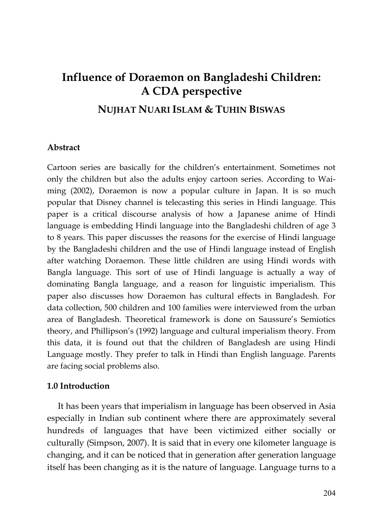# **Influence of Doraemon on Bangladeshi Children: A CDA perspective NUJHAT NUARI ISLAM & TUHIN BISWAS**

### **Abstract**

Cartoon series are basically for the children's entertainment. Sometimes not only the children but also the adults enjoy cartoon series. According to Waiming (2002), Doraemon is now a popular culture in Japan. It is so much popular that Disney channel is telecasting this series in Hindi language. This paper is a critical discourse analysis of how a Japanese anime of Hindi language is embedding Hindi language into the Bangladeshi children of age 3 to 8 years. This paper discusses the reasons for the exercise of Hindi language by the Bangladeshi children and the use of Hindi language instead of English after watching Doraemon. These little children are using Hindi words with Bangla language. This sort of use of Hindi language is actually a way of dominating Bangla language, and a reason for linguistic imperialism. This paper also discusses how Doraemon has cultural effects in Bangladesh. For data collection, 500 children and 100 families were interviewed from the urban area of Bangladesh. Theoretical framework is done on Saussure's Semiotics theory, and Phillipson's (1992) language and cultural imperialism theory. From this data, it is found out that the children of Bangladesh are using Hindi Language mostly. They prefer to talk in Hindi than English language. Parents are facing social problems also.

### **1.0 Introduction**

It has been years that imperialism in language has been observed in Asia especially in Indian sub continent where there are approximately several hundreds of languages that have been victimized either socially or culturally (Simpson, 2007). It is said that in every one kilometer language is changing, and it can be noticed that in generation after generation language itself has been changing as it is the nature of language. Language turns to a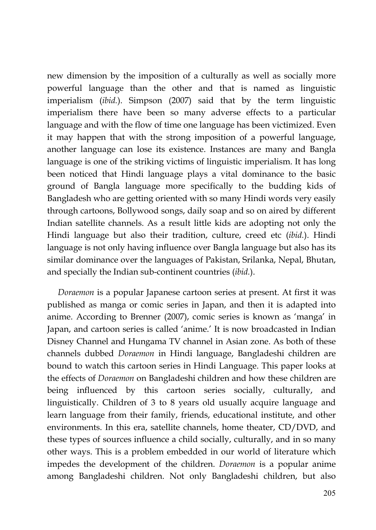new dimension by the imposition of a culturally as well as socially more powerful language than the other and that is named as linguistic imperialism (*ibid.*). Simpson (2007) said that by the term linguistic imperialism there have been so many adverse effects to a particular language and with the flow of time one language has been victimized. Even it may happen that with the strong imposition of a powerful language, another language can lose its existence. Instances are many and Bangla language is one of the striking victims of linguistic imperialism. It has long been noticed that Hindi language plays a vital dominance to the basic ground of Bangla language more specifically to the budding kids of Bangladesh who are getting oriented with so many Hindi words very easily through cartoons, Bollywood songs, daily soap and so on aired by different Indian satellite channels. As a result little kids are adopting not only the Hindi language but also their tradition, culture, creed etc (*ibid.*). Hindi language is not only having influence over Bangla language but also has its similar dominance over the languages of Pakistan, Srilanka, Nepal, Bhutan, and specially the Indian sub-continent countries (*ibid.*).

*Doraemon* is a popular Japanese cartoon series at present. At first it was published as manga or comic series in Japan, and then it is adapted into anime. According to Brenner (2007), comic series is known as 'manga' in Japan, and cartoon series is called 'anime.' It is now broadcasted in Indian Disney Channel and Hungama TV channel in Asian zone. As both of these channels dubbed *Doraemon* in Hindi language, Bangladeshi children are bound to watch this cartoon series in Hindi Language. This paper looks at the effects of *Doraemon* on Bangladeshi children and how these children are being influenced by this cartoon series socially, culturally, and linguistically. Children of 3 to 8 years old usually acquire language and learn language from their family, friends, educational institute, and other environments. In this era, satellite channels, home theater, CD/DVD, and these types of sources influence a child socially, culturally, and in so many other ways. This is a problem embedded in our world of literature which impedes the development of the children. *Doraemon* is a popular anime among Bangladeshi children. Not only Bangladeshi children, but also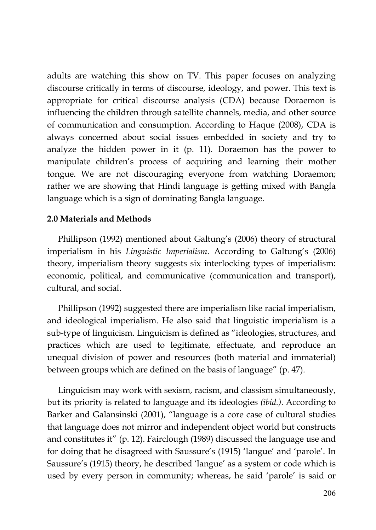adults are watching this show on TV. This paper focuses on analyzing discourse critically in terms of discourse, ideology, and power. This text is appropriate for critical discourse analysis (CDA) because Doraemon is influencing the children through satellite channels, media, and other source of communication and consumption. According to Haque (2008), CDA is always concerned about social issues embedded in society and try to analyze the hidden power in it (p. 11). Doraemon has the power to manipulate children's process of acquiring and learning their mother tongue. We are not discouraging everyone from watching Doraemon; rather we are showing that Hindi language is getting mixed with Bangla language which is a sign of dominating Bangla language.

#### **2.0 Materials and Methods**

Phillipson (1992) mentioned about Galtung's (2006) theory of structural imperialism in his *Linguistic Imperialism*. According to Galtung's (2006) theory, imperialism theory suggests six interlocking types of imperialism: economic, political, and communicative (communication and transport), cultural, and social.

Phillipson (1992) suggested there are imperialism like racial imperialism, and ideological imperialism. He also said that linguistic imperialism is a sub-type of linguicism. Linguicism is defined as "ideologies, structures, and practices which are used to legitimate, effectuate, and reproduce an unequal division of power and resources (both material and immaterial) between groups which are defined on the basis of language" (p. 47).

Linguicism may work with sexism, racism, and classism simultaneously, but its priority is related to language and its ideologies *(ibid.)*. According to Barker and Galansinski (2001), "language is a core case of cultural studies that language does not mirror and independent object world but constructs and constitutes it" (p. 12). Fairclough (1989) discussed the language use and for doing that he disagreed with Saussure's (1915) 'langue' and 'parole'. In Saussure's (1915) theory, he described 'langue' as a system or code which is used by every person in community; whereas, he said 'parole' is said or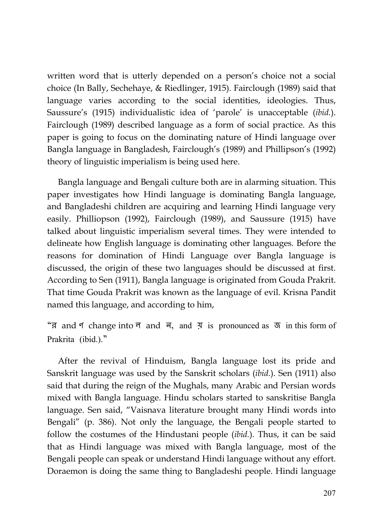written word that is utterly depended on a person's choice not a social choice (In Bally, Sechehaye, & Riedlinger, 1915). Fairclough (1989) said that language varies according to the social identities, ideologies. Thus, Saussure's (1915) individualistic idea of 'parole' is unacceptable (*ibid.*). Fairclough (1989) described language as a form of social practice. As this paper is going to focus on the dominating nature of Hindi language over Bangla language in Bangladesh, Fairclough's (1989) and Phillipson's (1992) theory of linguistic imperialism is being used here.

Bangla language and Bengali culture both are in alarming situation. This paper investigates how Hindi language is dominating Bangla language, and Bangladeshi children are acquiring and learning Hindi language very easily. Philliopson (1992), Fairclough (1989), and Saussure (1915) have talked about linguistic imperialism several times. They were intended to delineate how English language is dominating other languages. Before the reasons for domination of Hindi Language over Bangla language is discussed, the origin of these two languages should be discussed at first. According to Sen (1911), Bangla language is originated from Gouda Prakrit. That time Gouda Prakrit was known as the language of evil. Krisna Pandit named this language, and according to him,

"র and ণ change into ল and ন, and য় is pronounced as জ in this form of Prakrita (ibid.)."

After the revival of Hinduism, Bangla language lost its pride and Sanskrit language was used by the Sanskrit scholars (*ibid.*). Sen (1911) also said that during the reign of the Mughals, many Arabic and Persian words mixed with Bangla language. Hindu scholars started to sanskritise Bangla language. Sen said, "Vaisnava literature brought many Hindi words into Bengali" (p. 386). Not only the language, the Bengali people started to follow the costumes of the Hindustani people (*ibid.*). Thus, it can be said that as Hindi language was mixed with Bangla language, most of the Bengali people can speak or understand Hindi language without any effort. Doraemon is doing the same thing to Bangladeshi people. Hindi language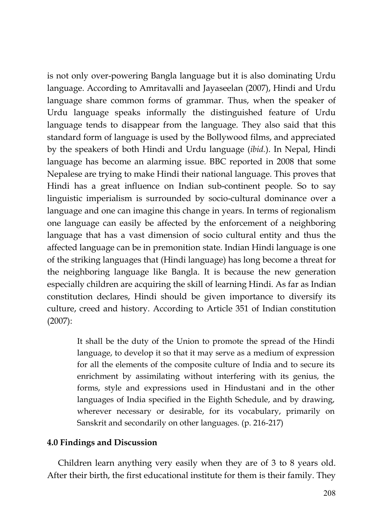is not only over-powering Bangla language but it is also dominating Urdu language. According to Amritavalli and Jayaseelan (2007), Hindi and Urdu language share common forms of grammar. Thus, when the speaker of Urdu language speaks informally the distinguished feature of Urdu language tends to disappear from the language. They also said that this standard form of language is used by the Bollywood films, and appreciated by the speakers of both Hindi and Urdu language (*ibid.*). In Nepal, Hindi language has become an alarming issue. BBC reported in 2008 that some Nepalese are trying to make Hindi their national language. This proves that Hindi has a great influence on Indian sub-continent people. So to say linguistic imperialism is surrounded by socio-cultural dominance over a language and one can imagine this change in years. In terms of regionalism one language can easily be affected by the enforcement of a neighboring language that has a vast dimension of socio cultural entity and thus the affected language can be in premonition state. Indian Hindi language is one of the striking languages that (Hindi language) has long become a threat for the neighboring language like Bangla. It is because the new generation especially children are acquiring the skill of learning Hindi. As far as Indian constitution declares, Hindi should be given importance to diversify its culture, creed and history. According to Article 351 of Indian constitution (2007):

> It shall be the duty of the Union to promote the spread of the Hindi language, to develop it so that it may serve as a medium of expression for all the elements of the composite culture of India and to secure its enrichment by assimilating without interfering with its genius, the forms, style and expressions used in Hindustani and in the other languages of India specified in the Eighth Schedule, and by drawing, wherever necessary or desirable, for its vocabulary, primarily on Sanskrit and secondarily on other languages. (p. 216-217)

#### **4.0 Findings and Discussion**

Children learn anything very easily when they are of 3 to 8 years old. After their birth, the first educational institute for them is their family. They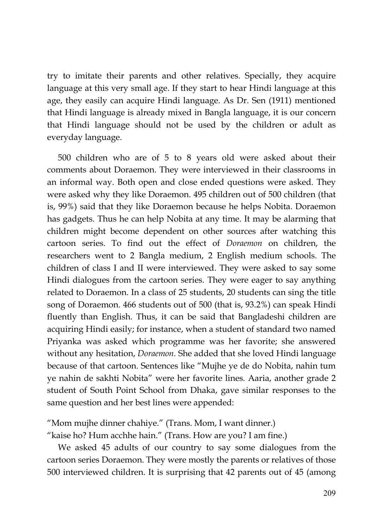try to imitate their parents and other relatives. Specially, they acquire language at this very small age. If they start to hear Hindi language at this age, they easily can acquire Hindi language. As Dr. Sen (1911) mentioned that Hindi language is already mixed in Bangla language, it is our concern that Hindi language should not be used by the children or adult as everyday language.

500 children who are of 5 to 8 years old were asked about their comments about Doraemon. They were interviewed in their classrooms in an informal way. Both open and close ended questions were asked. They were asked why they like Doraemon. 495 children out of 500 children (that is, 99%) said that they like Doraemon because he helps Nobita. Doraemon has gadgets. Thus he can help Nobita at any time. It may be alarming that children might become dependent on other sources after watching this cartoon series. To find out the effect of *Doraemon* on children, the researchers went to 2 Bangla medium, 2 English medium schools. The children of class I and II were interviewed. They were asked to say some Hindi dialogues from the cartoon series. They were eager to say anything related to Doraemon. In a class of 25 students, 20 students can sing the title song of Doraemon. 466 students out of 500 (that is, 93.2%) can speak Hindi fluently than English. Thus, it can be said that Bangladeshi children are acquiring Hindi easily; for instance, when a student of standard two named Priyanka was asked which programme was her favorite; she answered without any hesitation, *Doraemon.* She added that she loved Hindi language because of that cartoon. Sentences like "Mujhe ye de do Nobita, nahin tum ye nahin de sakhti Nobita" were her favorite lines. Aaria, another grade 2 student of South Point School from Dhaka, gave similar responses to the same question and her best lines were appended:

"Mom mujhe dinner chahiye." (Trans. Mom, I want dinner.)

"kaise ho? Hum acchhe hain." (Trans. How are you? I am fine.)

We asked 45 adults of our country to say some dialogues from the cartoon series Doraemon. They were mostly the parents or relatives of those 500 interviewed children. It is surprising that 42 parents out of 45 (among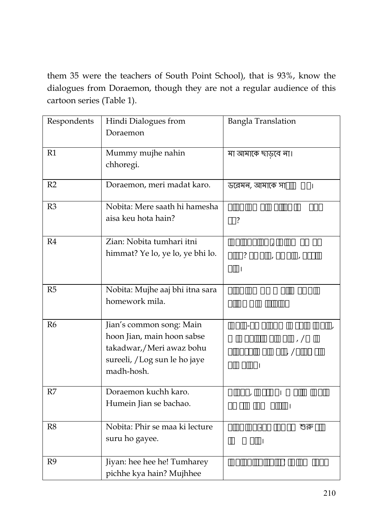them 35 were the teachers of South Point School), that is 93%, know the dialogues from Doraemon, though they are not a regular audience of this cartoon series (Table 1).

| Respondents    | Hindi Dialogues from<br>Doraemon                                                                                                  | <b>Bangla Translation</b>       |
|----------------|-----------------------------------------------------------------------------------------------------------------------------------|---------------------------------|
| R1             | Mummy mujhe nahin<br>chhoregi.                                                                                                    | মা আমাকে ছাডবে না।              |
| R2             | Doraemon, meri madat karo.                                                                                                        | ডরেমন, আমাকে সা<br>$\mathbf{I}$ |
| R3             | Nobita: Mere saath hi hamesha<br>aisa keu hota hain?                                                                              | $\tilde{?}$                     |
| R4             | Zian: Nobita tumhari itni<br>himmat? Ye lo, ye lo, ye bhi lo.                                                                     | $\overline{ }$<br>$\tilde{?}$   |
| R5             | Nobita: Mujhe aaj bhi itna sara<br>homework mila.                                                                                 |                                 |
| R <sub>6</sub> | Jian's common song: Main<br>hoon Jian, main hoon sabse<br>takadwar,/Meri awaz bohu<br>sureeli, / Log sun le ho jaye<br>madh-hosh. | ı                               |
| R7             | Doraemon kuchh karo.<br>Humein Jian se bachao.                                                                                    | $\mathbf{I}$<br>$\mathsf{I}$    |
| R8             | Nobita: Phir se maa ki lecture<br>suru ho gayee.                                                                                  | ণ্ডক<br>$\mathbf{I}$            |
| R <sub>9</sub> | Jiyan: hee hee he! Tumharey<br>pichhe kya hain? Mujhhee                                                                           | Ţ                               |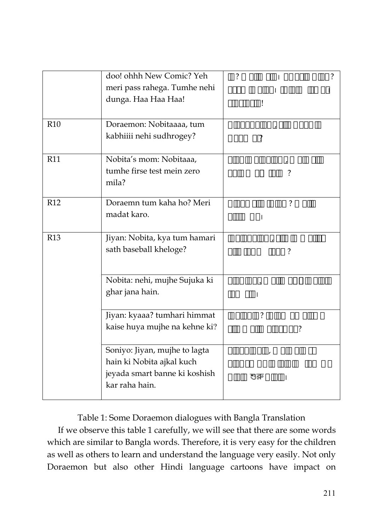|            | doo! ohhh New Comic? Yeh<br>meri pass rahega. Tumhe nehi<br>dunga. Haa Haa Haa!                               | $\overline{\mathcal{C}}$<br>2                        |
|------------|---------------------------------------------------------------------------------------------------------------|------------------------------------------------------|
| <b>R10</b> | Doraemon: Nobitaaaa, tum<br>kabhiiii nehi sudhrogey?                                                          | $\overline{\mathcal{C}}$                             |
| <b>R11</b> | Nobita's mom: Nobitaaa,<br>tumhe firse test mein zero<br>mila?                                                | ?                                                    |
| R12        | Doraemn tum kaha ho? Meri<br>madat karo.                                                                      | $\tilde{?}$<br>I                                     |
| <b>R13</b> | Jiyan: Nobita, kya tum hamari<br>sath baseball kheloge?                                                       | ?                                                    |
|            | Nobita: nehi, mujhe Sujuka ki<br>ghar jana hain.                                                              |                                                      |
|            | Jiyan: kyaaa? tumhari himmat<br>kaise huya mujhe na kehne ki?                                                 | $\overline{\mathcal{C}}$<br>$\overline{\mathcal{C}}$ |
|            | Soniyo: Jiyan, mujhe to lagta<br>hain ki Nobita ajkal kuch<br>jeyada smart banne ki koshish<br>kar raha hain. | ,<br>ওরু                                             |

Table 1: Some Doraemon dialogues with Bangla Translation

If we observe this table 1 carefully, we will see that there are some words which are similar to Bangla words. Therefore, it is very easy for the children as well as others to learn and understand the language very easily. Not only Doraemon but also other Hindi language cartoons have impact on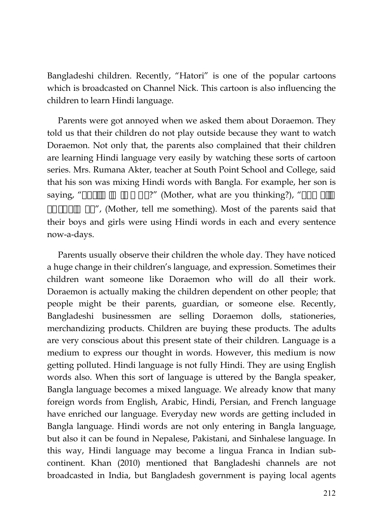Bangladeshi children. Recently, "Hatori" is one of the popular cartoons which is broadcasted on Channel Nick. This cartoon is also influencing the children to learn Hindi language.

Parents were got annoyed when we asked them about Doraemon. They told us that their children do not play outside because they want to watch Doraemon. Not only that, the parents also complained that their children are learning Hindi language very easily by watching these sorts of cartoon series. Mrs. Rumana Akter, teacher at South Point School and College, said that his son was mixing Hindi words with Bangla. For example, her son is saying, "<br>
2" (Mother, what are you thinking?), "

", (Mother, tell me something). Most of the parents said that their boys and girls were using Hindi words in each and every sentence now-a-days.

Parents usually observe their children the whole day. They have noticed a huge change in their children's language, and expression. Sometimes their children want someone like Doraemon who will do all their work. Doraemon is actually making the children dependent on other people; that people might be their parents, guardian, or someone else. Recently, Bangladeshi businessmen are selling Doraemon dolls, stationeries, merchandizing products. Children are buying these products. The adults are very conscious about this present state of their children. Language is a medium to express our thought in words. However, this medium is now getting polluted. Hindi language is not fully Hindi. They are using English words also. When this sort of language is uttered by the Bangla speaker, Bangla language becomes a mixed language. We already know that many foreign words from English, Arabic, Hindi, Persian, and French language have enriched our language. Everyday new words are getting included in Bangla language. Hindi words are not only entering in Bangla language, but also it can be found in Nepalese, Pakistani, and Sinhalese language. In this way, Hindi language may become a lingua Franca in Indian subcontinent. Khan (2010) mentioned that Bangladeshi channels are not broadcasted in India, but Bangladesh government is paying local agents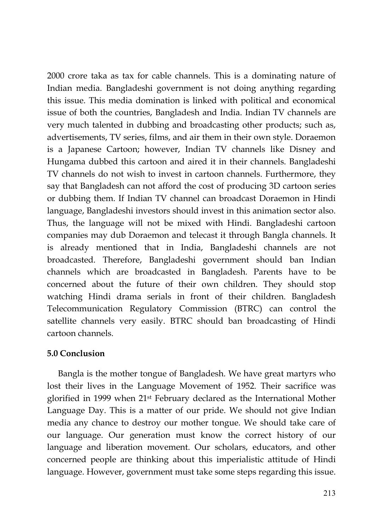2000 crore taka as tax for cable channels. This is a dominating nature of Indian media. Bangladeshi government is not doing anything regarding this issue. This media domination is linked with political and economical issue of both the countries, Bangladesh and India. Indian TV channels are very much talented in dubbing and broadcasting other products; such as, advertisements, TV series, films, and air them in their own style. Doraemon is a Japanese Cartoon; however, Indian TV channels like Disney and Hungama dubbed this cartoon and aired it in their channels. Bangladeshi TV channels do not wish to invest in cartoon channels. Furthermore, they say that Bangladesh can not afford the cost of producing 3D cartoon series or dubbing them. If Indian TV channel can broadcast Doraemon in Hindi language, Bangladeshi investors should invest in this animation sector also. Thus, the language will not be mixed with Hindi. Bangladeshi cartoon companies may dub Doraemon and telecast it through Bangla channels. It is already mentioned that in India, Bangladeshi channels are not broadcasted. Therefore, Bangladeshi government should ban Indian channels which are broadcasted in Bangladesh. Parents have to be concerned about the future of their own children. They should stop watching Hindi drama serials in front of their children. Bangladesh Telecommunication Regulatory Commission (BTRC) can control the satellite channels very easily. BTRC should ban broadcasting of Hindi cartoon channels.

### **5.0 Conclusion**

Bangla is the mother tongue of Bangladesh. We have great martyrs who lost their lives in the Language Movement of 1952. Their sacrifice was glorified in 1999 when 21st February declared as the International Mother Language Day. This is a matter of our pride. We should not give Indian media any chance to destroy our mother tongue. We should take care of our language. Our generation must know the correct history of our language and liberation movement. Our scholars, educators, and other concerned people are thinking about this imperialistic attitude of Hindi language. However, government must take some steps regarding this issue.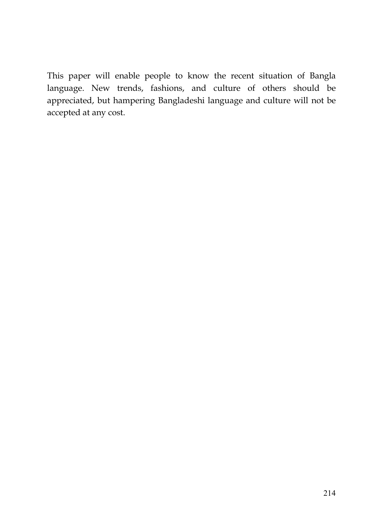This paper will enable people to know the recent situation of Bangla language. New trends, fashions, and culture of others should be appreciated, but hampering Bangladeshi language and culture will not be accepted at any cost.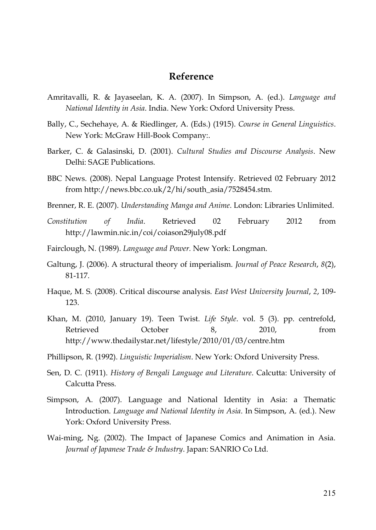#### **Reference**

- Amritavalli, R. & Jayaseelan, K. A. (2007). In Simpson, A. (ed.). *Language and National Identity in Asia*. India. New York: Oxford University Press.
- Bally, C., Sechehaye, A. & Riedlinger, A. (Eds.) (1915). *Course in General Linguistics*. New York: McGraw Hill-Book Company:.
- Barker, C. & Galasinski, D. (2001). *Cultural Studies and Discourse Analysis*. New Delhi: SAGE Publications.
- BBC News. (2008). Nepal Language Protest Intensify. Retrieved 02 February 2012 from http://news.bbc.co.uk/2/hi/south\_asia/7528454.stm.
- Brenner, R. E. (2007). *Understanding Manga and Anime*. London: Libraries Unlimited.
- *Constitution of India*. Retrieved 02 February 2012 from <http://lawmin.nic.in/coi/coiason29july08.pdf>
- Fairclough, N. (1989). *Language and Power.* New York: Longman.
- Galtung, J. (2006). A structural theory of imperialism. *Journal of Peace Research*, *8*(2), 81-117.
- Haque, M. S. (2008). Critical discourse analysis. *East West University Journal*, *2*, 109- 123.
- Khan, M. (2010, January 19). Teen Twist. *Life Style*. vol. 5 (3). pp. centrefold, Retrieved October 8, 2010, from <http://www.thedailystar.net/lifestyle/2010/01/03/centre.htm>
- Phillipson, R. (1992). *Linguistic Imperialism*. New York: Oxford University Press.
- Sen, D. C. (1911). *History of Bengali Language and Literature*. Calcutta: University of Calcutta Press.
- Simpson, A. (2007). Language and National Identity in Asia: a Thematic Introduction. *Language and National Identity in Asia*. In Simpson, A. (ed.). New York: Oxford University Press.
- Wai-ming, Ng. (2002). The Impact of Japanese Comics and Animation in Asia. *Journal of Japanese Trade & Industry*. Japan: SANRIO Co Ltd.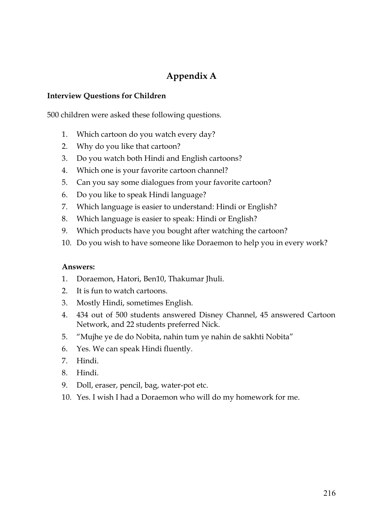# **Appendix A**

#### **Interview Questions for Children**

500 children were asked these following questions.

- 1. Which cartoon do you watch every day?
- 2. Why do you like that cartoon?
- 3. Do you watch both Hindi and English cartoons?
- 4. Which one is your favorite cartoon channel?
- 5. Can you say some dialogues from your favorite cartoon?
- 6. Do you like to speak Hindi language?
- 7. Which language is easier to understand: Hindi or English?
- 8. Which language is easier to speak: Hindi or English?
- 9. Which products have you bought after watching the cartoon?
- 10. Do you wish to have someone like Doraemon to help you in every work?

#### **Answers:**

- 1. Doraemon, Hatori, Ben10, Thakumar Jhuli.
- 2. It is fun to watch cartoons.
- 3. Mostly Hindi, sometimes English.
- 4. 434 out of 500 students answered Disney Channel, 45 answered Cartoon Network, and 22 students preferred Nick.
- 5. "Mujhe ye de do Nobita, nahin tum ye nahin de sakhti Nobita"
- 6. Yes. We can speak Hindi fluently.
- 7. Hindi.
- 8. Hindi.
- 9. Doll, eraser, pencil, bag, water-pot etc.
- 10. Yes. I wish I had a Doraemon who will do my homework for me.